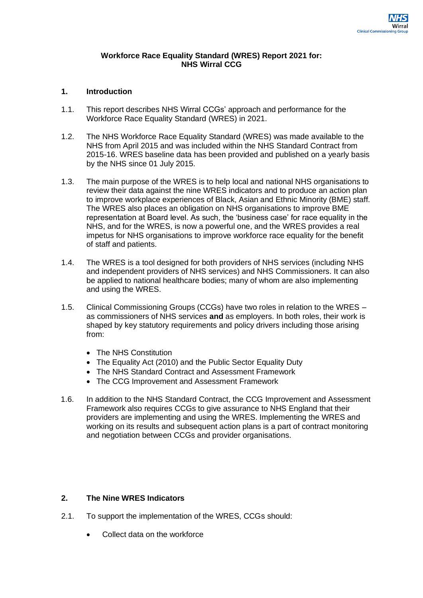#### **Workforce Race Equality Standard (WRES) Report 2021 for: NHS Wirral CCG**

#### **1. Introduction**

- 1.1. This report describes NHS Wirral CCGs' approach and performance for the Workforce Race Equality Standard (WRES) in 2021.
- 1.2. The NHS Workforce Race Equality Standard (WRES) was made available to the NHS from April 2015 and was included within the NHS Standard Contract from 2015-16. WRES baseline data has been provided and published on a yearly basis by the NHS since 01 July 2015.
- 1.3. The main purpose of the WRES is to help local and national NHS organisations to review their data against the nine WRES indicators and to produce an action plan to improve workplace experiences of Black, Asian and Ethnic Minority (BME) staff. The WRES also places an obligation on NHS organisations to improve BME representation at Board level. As such, the 'business case' for race equality in the NHS, and for the WRES, is now a powerful one, and the WRES provides a real impetus for NHS organisations to improve workforce race equality for the benefit of staff and patients.
- 1.4. The WRES is a tool designed for both providers of NHS services (including NHS and independent providers of NHS services) and NHS Commissioners. It can also be applied to national healthcare bodies; many of whom are also implementing and using the WRES.
- 1.5. Clinical Commissioning Groups (CCGs) have two roles in relation to the WRES as commissioners of NHS services **and** as employers. In both roles, their work is shaped by key statutory requirements and policy drivers including those arising from:
	- The NHS Constitution
	- The Equality Act (2010) and the Public Sector Equality Duty
	- The NHS Standard Contract and Assessment Framework
	- The CCG Improvement and Assessment Framework
- 1.6. In addition to the NHS Standard Contract, the CCG Improvement and Assessment Framework also requires CCGs to give assurance to NHS England that their providers are implementing and using the WRES. Implementing the WRES and working on its results and subsequent action plans is a part of contract monitoring and negotiation between CCGs and provider organisations.

### **2. The Nine WRES Indicators**

- 2.1. To support the implementation of the WRES, CCGs should:
	- Collect data on the workforce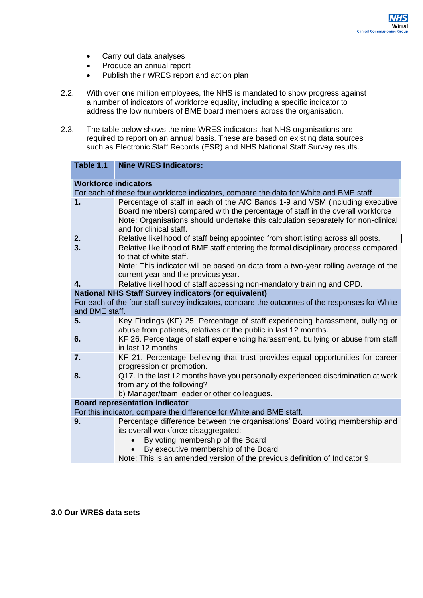- Carry out data analyses
- Produce an annual report
- Publish their WRES report and action plan
- 2.2. With over one million employees, the NHS is mandated to show progress against a number of indicators of workforce equality, including a specific indicator to address the low numbers of BME board members across the organisation.
- 2.3. The table below shows the nine WRES indicators that NHS organisations are required to report on an annual basis. These are based on existing data sources such as Electronic Staff Records (ESR) and NHS National Staff Survey results.

| Table 1.1                                                                                                       | <b>Nine WRES Indicators:</b>                                                                                                                                                                                                                                                   |  |  |  |
|-----------------------------------------------------------------------------------------------------------------|--------------------------------------------------------------------------------------------------------------------------------------------------------------------------------------------------------------------------------------------------------------------------------|--|--|--|
| <b>Workforce indicators</b>                                                                                     |                                                                                                                                                                                                                                                                                |  |  |  |
|                                                                                                                 | For each of these four workforce indicators, compare the data for White and BME staff                                                                                                                                                                                          |  |  |  |
| 1.                                                                                                              | Percentage of staff in each of the AfC Bands 1-9 and VSM (including executive<br>Board members) compared with the percentage of staff in the overall workforce<br>Note: Organisations should undertake this calculation separately for non-clinical<br>and for clinical staff. |  |  |  |
| 2.                                                                                                              | Relative likelihood of staff being appointed from shortlisting across all posts.                                                                                                                                                                                               |  |  |  |
| 3.                                                                                                              | Relative likelihood of BME staff entering the formal disciplinary process compared<br>to that of white staff.                                                                                                                                                                  |  |  |  |
|                                                                                                                 | Note: This indicator will be based on data from a two-year rolling average of the<br>current year and the previous year.                                                                                                                                                       |  |  |  |
| 4.                                                                                                              | Relative likelihood of staff accessing non-mandatory training and CPD.                                                                                                                                                                                                         |  |  |  |
|                                                                                                                 | <b>National NHS Staff Survey indicators (or equivalent)</b>                                                                                                                                                                                                                    |  |  |  |
| For each of the four staff survey indicators, compare the outcomes of the responses for White<br>and BME staff. |                                                                                                                                                                                                                                                                                |  |  |  |
| 5.                                                                                                              | Key Findings (KF) 25. Percentage of staff experiencing harassment, bullying or<br>abuse from patients, relatives or the public in last 12 months.                                                                                                                              |  |  |  |
| 6.                                                                                                              | KF 26. Percentage of staff experiencing harassment, bullying or abuse from staff<br>in last 12 months                                                                                                                                                                          |  |  |  |
| 7.                                                                                                              | KF 21. Percentage believing that trust provides equal opportunities for career<br>progression or promotion.                                                                                                                                                                    |  |  |  |
| 8.                                                                                                              | Q17. In the last 12 months have you personally experienced discrimination at work<br>from any of the following?<br>b) Manager/team leader or other colleagues.                                                                                                                 |  |  |  |
|                                                                                                                 | <b>Board representation indicator</b>                                                                                                                                                                                                                                          |  |  |  |
| For this indicator, compare the difference for White and BME staff.                                             |                                                                                                                                                                                                                                                                                |  |  |  |
| 9.                                                                                                              | Percentage difference between the organisations' Board voting membership and                                                                                                                                                                                                   |  |  |  |
|                                                                                                                 | its overall workforce disaggregated:                                                                                                                                                                                                                                           |  |  |  |
|                                                                                                                 | By voting membership of the Board                                                                                                                                                                                                                                              |  |  |  |
|                                                                                                                 | By executive membership of the Board                                                                                                                                                                                                                                           |  |  |  |
|                                                                                                                 | Note: This is an amended version of the previous definition of Indicator 9                                                                                                                                                                                                     |  |  |  |

#### **3.0 Our WRES data sets**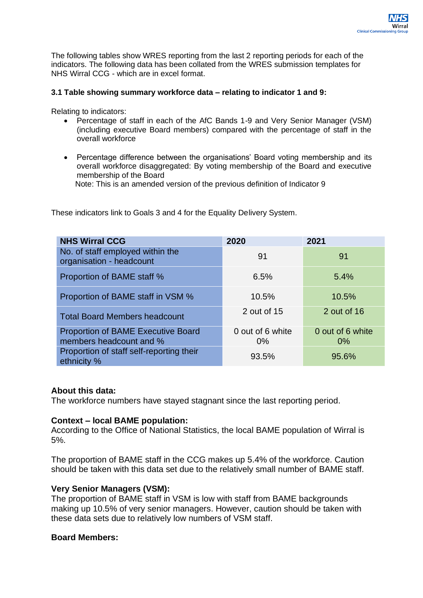The following tables show WRES reporting from the last 2 reporting periods for each of the indicators. The following data has been collated from the WRES submission templates for NHS Wirral CCG - which are in excel format.

### **3.1 Table showing summary workforce data – relating to indicator 1 and 9:**

Relating to indicators:

- Percentage of staff in each of the AfC Bands 1-9 and Very Senior Manager (VSM) (including executive Board members) compared with the percentage of staff in the overall workforce
- Percentage difference between the organisations' Board voting membership and its overall workforce disaggregated: By voting membership of the Board and executive membership of the Board

Note: This is an amended version of the previous definition of Indicator 9

These indicators link to Goals 3 and 4 for the Equality Delivery System.

| <b>NHS Wirral CCG</b>                                                | 2020                      | 2021                      |
|----------------------------------------------------------------------|---------------------------|---------------------------|
| No. of staff employed within the<br>organisation - headcount         | 91                        | 91                        |
| Proportion of BAME staff %                                           | 6.5%                      | 5.4%                      |
| Proportion of BAME staff in VSM %                                    | 10.5%                     | 10.5%                     |
| <b>Total Board Members headcount</b>                                 | 2 out of 15               | 2 out of 16               |
| <b>Proportion of BAME Executive Board</b><br>members headcount and % | 0 out of 6 white<br>$0\%$ | 0 out of 6 white<br>$0\%$ |
| Proportion of staff self-reporting their<br>ethnicity %              | 93.5%                     | 95.6%                     |

### **About this data:**

The workforce numbers have stayed stagnant since the last reporting period.

### **Context – local BAME population:**

According to the Office of National Statistics, the local BAME population of Wirral is 5%.

The proportion of BAME staff in the CCG makes up 5.4% of the workforce. Caution should be taken with this data set due to the relatively small number of BAME staff.

## **Very Senior Managers (VSM):**

The proportion of BAME staff in VSM is low with staff from BAME backgrounds making up 10.5% of very senior managers. However, caution should be taken with these data sets due to relatively low numbers of VSM staff.

### **Board Members:**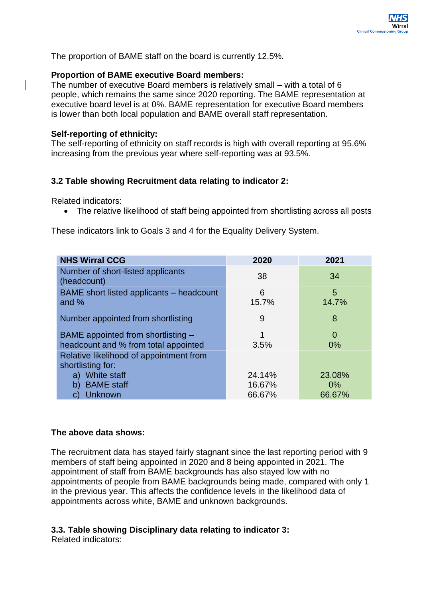

## **Proportion of BAME executive Board members:**

The number of executive Board members is relatively small – with a total of 6 people, which remains the same since 2020 reporting. The BAME representation at executive board level is at 0%. BAME representation for executive Board members is lower than both local population and BAME overall staff representation.

Clinical Commission

## **Self-reporting of ethnicity:**

The self-reporting of ethnicity on staff records is high with overall reporting at 95.6% increasing from the previous year where self-reporting was at 93.5%.

# **3.2 Table showing Recruitment data relating to indicator 2:**

Related indicators:

• The relative likelihood of staff being appointed from shortlisting across all posts

These indicators link to Goals 3 and 4 for the Equality Delivery System.

| <b>NHS Wirral CCG</b>                                                      | 2020       | 2021                 |
|----------------------------------------------------------------------------|------------|----------------------|
| Number of short-listed applicants<br>(headcount)                           | 38         | 34                   |
| BAME short listed applicants – headcount<br>and $%$                        | 6<br>15.7% | 5<br>14.7%           |
| Number appointed from shortlisting                                         | 9          | 8                    |
| BAME appointed from shortlisting -<br>headcount and % from total appointed | 1<br>3.5%  | $\overline{0}$<br>0% |
| Relative likelihood of appointment from<br>shortlisting for:               |            |                      |
| White staff<br>a)                                                          | 24.14%     | 23.08%               |
| <b>BAME</b> staff<br>b)                                                    | 16.67%     | $0\%$                |
| Unknown<br>$\mathbf{C}$                                                    | 66.67%     | 66.67%               |

## **The above data shows:**

The recruitment data has stayed fairly stagnant since the last reporting period with 9 members of staff being appointed in 2020 and 8 being appointed in 2021. The appointment of staff from BAME backgrounds has also stayed low with no appointments of people from BAME backgrounds being made, compared with only 1 in the previous year. This affects the confidence levels in the likelihood data of appointments across white, BAME and unknown backgrounds.

## **3.3. Table showing Disciplinary data relating to indicator 3:**

Related indicators: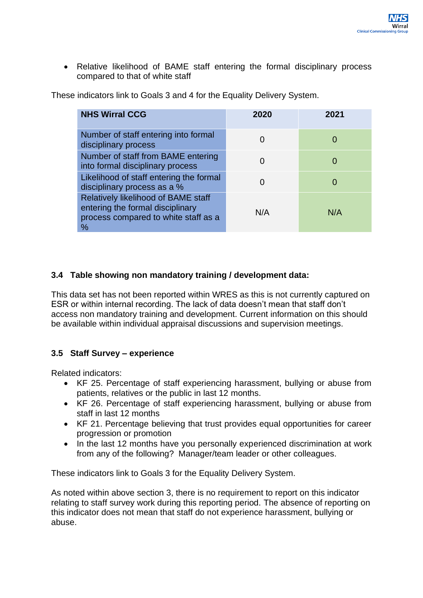• Relative likelihood of BAME staff entering the formal disciplinary process compared to that of white staff

These indicators link to Goals 3 and 4 for the Equality Delivery System.

| <b>NHS Wirral CCG</b>                                                                                                          | 2020 | 2021         |
|--------------------------------------------------------------------------------------------------------------------------------|------|--------------|
| Number of staff entering into formal<br>disciplinary process                                                                   |      | $\mathbf{O}$ |
| Number of staff from BAME entering<br>into formal disciplinary process                                                         |      |              |
| Likelihood of staff entering the formal<br>disciplinary process as a %                                                         |      |              |
| <b>Relatively likelihood of BAME staff</b><br>entering the formal disciplinary<br>process compared to white staff as a<br>$\%$ | N/A  | N/A          |

# **3.4 Table showing non mandatory training / development data:**

This data set has not been reported within WRES as this is not currently captured on ESR or within internal recording. The lack of data doesn't mean that staff don't access non mandatory training and development. Current information on this should be available within individual appraisal discussions and supervision meetings.

# **3.5 Staff Survey – experience**

Related indicators:

- KF 25. Percentage of staff experiencing harassment, bullying or abuse from patients, relatives or the public in last 12 months.
- KF 26. Percentage of staff experiencing harassment, bullying or abuse from staff in last 12 months
- KF 21. Percentage believing that trust provides equal opportunities for career progression or promotion
- In the last 12 months have you personally experienced discrimination at work from any of the following? Manager/team leader or other colleagues.

These indicators link to Goals 3 for the Equality Delivery System.

As noted within above section 3, there is no requirement to report on this indicator relating to staff survey work during this reporting period. The absence of reporting on this indicator does not mean that staff do not experience harassment, bullying or abuse.